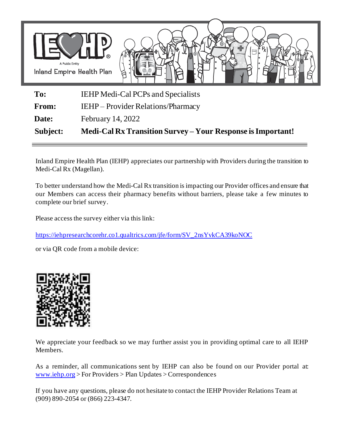

**To:** IEHP Medi-Cal PCPs and Specialists

From: IEHP – Provider Relations/Pharmacy

**Date:** February 14, 2022

**Subject: Medi-Cal Rx Transition Survey – Your Response is Important!** 

Inland Empire Health Plan (IEHP) appreciates our partnership with Providers during the transition to Medi-Cal Rx (Magellan).

To better understand how the Medi-Cal Rx transition is impacting our Provider offices and ensure that our Members can access their pharmacy benefits without barriers, please take a few minutes to complete our brief survey.

Please access the survey either via this link:

[https://iehpresearchcorehr.co1.qualtrics.com/jfe/form/SV\\_2nsYvkCA39koNOC](https://gcc02.safelinks.protection.outlook.com/?url=https%3A%2F%2Fiehpresearchcorehr.co1.qualtrics.com%2Fjfe%2Fform%2FSV_2nsYvkCA39koNOC&data=04%7C01%7CGarcia-A7%40iehp.org%7C3ac33bd69fae4fb2cde308d9efe444d5%7Cd2b2ffa819e143fbb46de34cae5a9594%7C1%7C0%7C637804585971711730%7CUnknown%7CTWFpbGZsb3d8eyJWIjoiMC4wLjAwMDAiLCJQIjoiV2luMzIiLCJBTiI6Ik1haWwiLCJXVCI6Mn0%3D%7C3000&sdata=Kf1XHXvY835s%2F0Zz7oqw5jCz2eXVa9Gn4UWdmHT9wYY%3D&reserved=0)

or via QR code from a mobile device:



We appreciate your feedback so we may further assist you in providing optimal care to all IEHP Members.

As a reminder, all communications sent by IEHP can also be found on our Provider portal at: [www.iehp.org](http://www.iehp.org/) > For Providers > Plan Updates > Correspondences

If you have any questions, please do not hesitate to contact the IEHP Provider Relations Team at (909) 890-2054 or (866) 223-4347.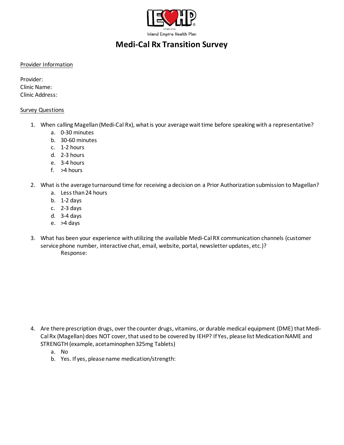

## **Medi-Cal Rx Transition Survey**

## Provider Information

Provider: Clinic Name: Clinic Address:

## Survey Questions

- 1. When calling Magellan(Medi-Cal Rx), what is your average wait time before speaking with a representative?
	- a. 0-30 minutes
	- b. 30-60 minutes
	- c. 1-2 hours
	- d. 2-3 hours
	- e. 3-4 hours
	- f. >4 hours
- 2. What is the average turnaround time for receiving a decision on a Prior Authorization submission to Magellan?
	- a. Less than 24 hours
	- b. 1-2 days
	- c. 2-3 days
	- d. 3-4 days
	- e. >4 days
- 3. What has been your experience with utilizing the available Medi-Cal RX communication channels (customer service phone number, interactive chat, email, website, portal, newsletter updates, etc.)? Response:

- 4. Are there prescription drugs, over the counter drugs, vitamins, or durable medical equipment (DME) that Medi-Cal Rx (Magellan) does NOT cover, that used to be covered by IEHP? If Yes, please list Medication NAME and STRENGTH (example, acetaminophen 325mg Tablets)
	- a. No
	- b. Yes. If yes, please name medication/strength: